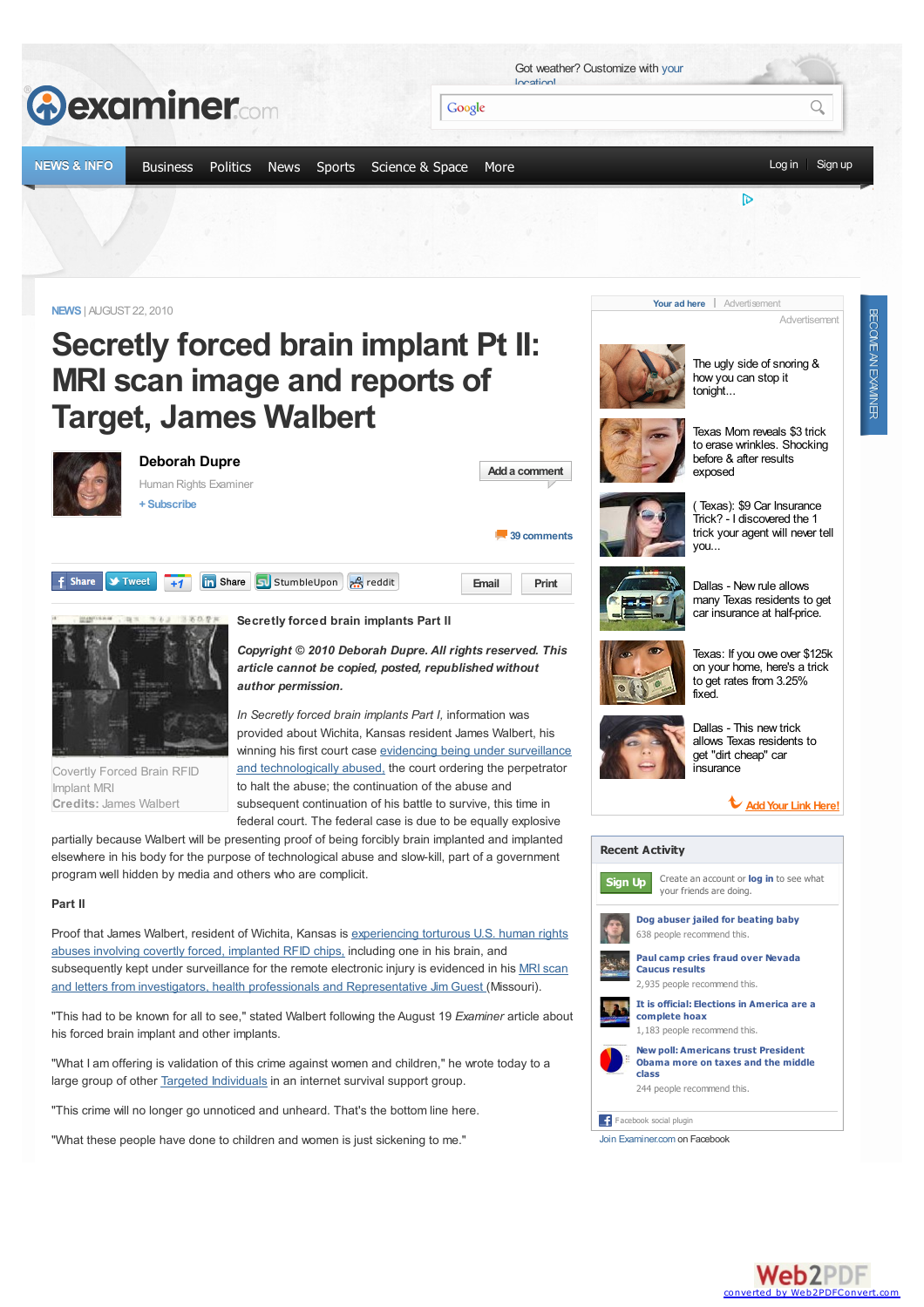

"What these people have done to children and women is just sickening to me."



Join [Examiner.com](http://www.facebook.com/Examinercom) on Facebook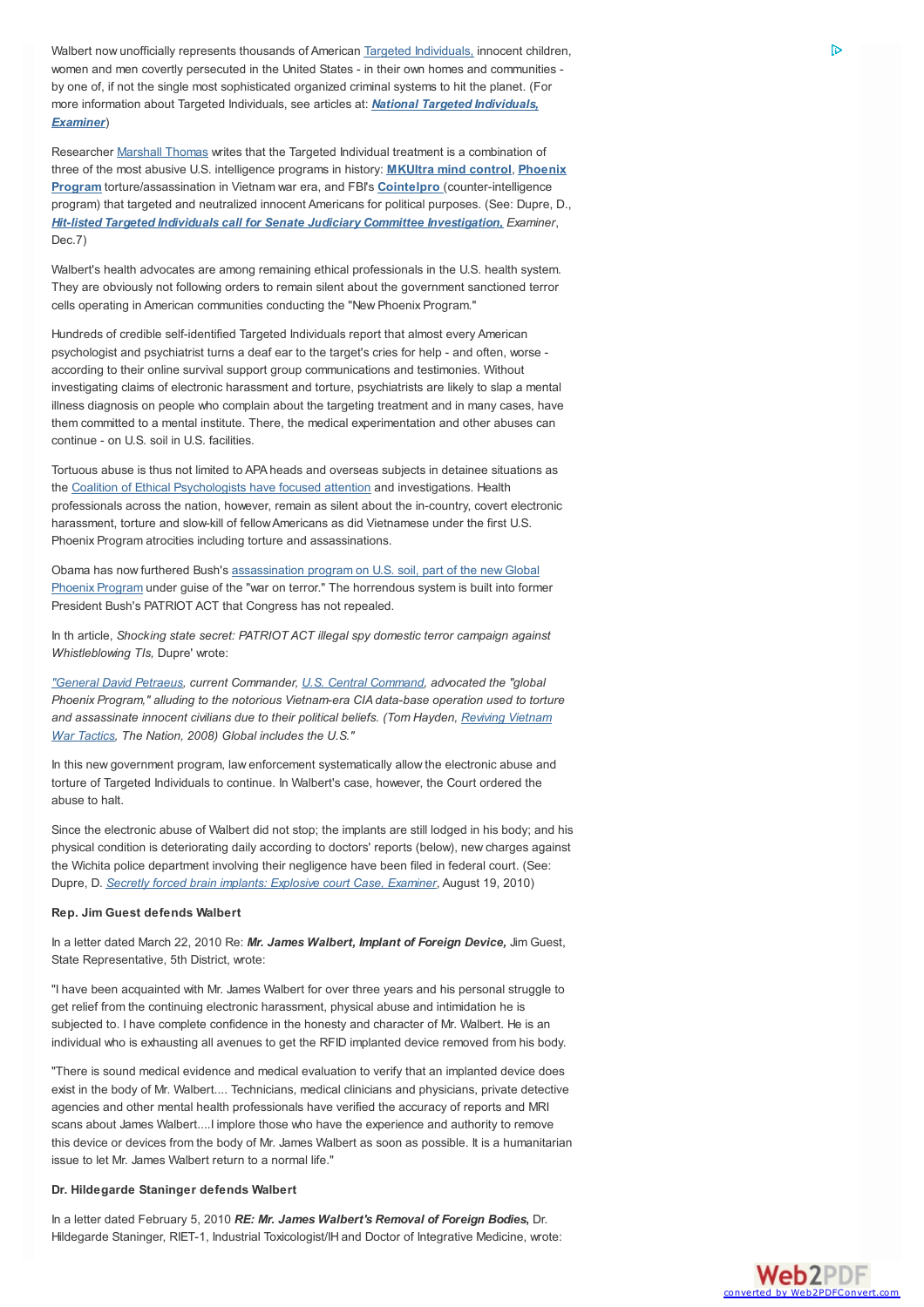Walbert now unofficially represents thousands of American Targeted [Individuals,](http://www.examiner.com/human-rights-in-national/c-i-a-blackwater-hit-squads-violence-against-innocent-individuals) innocent children, women and men covertly persecuted in the United States - in their own homes and communities by one of, if not the single most sophisticated organized criminal systems to hit the planet. (For more information about Targeted Individuals, see articles at: *National Targeted [Individuals,](http://www.examiner.com/targeted-individuals-in-national) Examiner*)

Researcher [Marshall](http://www.youtube.com/user/marsboy683) Thomas writes that the Targeted Individual treatment is a combination of three of the most abusive U.S. intelligence programs in history: **[MKUltra](http://www.examiner.com/x-10438-Human-Rights-Examiner~y2010m3d9-Who-is-Cathy-OBrien-Human-Rights-info-101 ) mind control**, **Phoenix Program** [torture/assassination](http://www.examiner.com/x-10438-Human-Rights-Examiner~y2010m1d12-Who-is-whistleblower-TI-Chris-Zucker-Human-Rights-info101 ) in Vietnam war era, and FBI's **[Cointelpro](http://www.deborahdupre.com/learningresearchctr/cointelpro101.html )** (counter-intelligence program) that targeted and neutralized innocent Americans for political purposes. (See: Dupre, D., *Hit-listed Targeted Individuals call for Senate Judiciary Committee [Investigation,](http://webcache.googleusercontent.com/search?q=cache:Bsq4YVxdYqMJ:www.examiner.com/x-/x-10438-Human-Rights-Examiner~y2009m12d7-Hitlisted-Targeted-Individuals-call-for-Senate-Judiciary-Committee-investigation+deborah+dupre+examiner+mind+control+mkultra&cd=2&hl=en&ct=clnk&gl=us&client=firefox-a) Examiner*, Dec.7)

Walbert's health advocates are among remaining ethical professionals in the U.S. health system. They are obviously not following orders to remain silent about the government sanctioned terror cells operating in American communities conducting the "New Phoenix Program."

Hundreds of credible self-identified Targeted Individuals report that almost every American psychologist and psychiatrist turns a deaf ear to the target's cries for help - and often, worse according to their online survival support group communications and testimonies. Without investigating claims of electronic harassment and torture, psychiatrists are likely to slap a mental illness diagnosis on people who complain about the targeting treatment and in many cases, have them committed to a mental institute. There, the medical experimentation and other abuses can continue - on U.S. soil in U.S. facilities.

Tortuous abuse is thus not limited to APA heads and overseas subjects in detainee situations as the Coalition of Ethical [Psychologists](http://examiner.com/human-rights-in-national/apa-s-cia-torture-complicity-is-america-ready-for-whole-truth) have focused attention and investigations. Health professionals across the nation, however, remain as silent about the in-country, covert electronic harassment, torture and slow-kill of fellowAmericans as did Vietnamese under the first U.S. Phoenix Program atrocities including torture and assassinations.

Obama has now furthered Bush's [assassination](http://www.examiner.com/human-rights-in-national/obama-targeted-individual-assassination-phoenix-program-includes-americans) program on U.S. soil, part of the newGlobal Phoenix Program under guise of the "war on terror." The horrendous system is built into former President Bush's PATRIOT ACT that Congress has not repealed.

In th article, *Shocking state secret: PATRIOT ACT illegal spy domestic terror campaign against Whistleblowing TIs,* Dupre' wrote:

*["General](http://http//en.wikipedia.org/wiki/David_Petraeus) David Petraeus, current Commander, U.S. Central [Command](http://en.wikipedia.org/wiki/United_States_Central_Command), advocated the "global Phoenix Program," alluding to the notorious Vietnam-era CIA data-base operation used to torture and [assassinate](http://www.thenation.com/doc/20080331/hayden) innocent civilians due to their political beliefs. (Tom Hayden, Reviving Vietnam War Tactics, The Nation, 2008) Global includes the U.S."*

In this new government program, law enforcement systematically allow the electronic abuse and torture of Targeted Individuals to continue. In Walbert's case, however, the Court ordered the abuse to halt.

Since the electronic abuse of Walbert did not stop; the implants are still lodged in his body; and his physical condition is deteriorating daily according to doctors' reports (below), new charges against the Wichita police department involving their negligence have been filed in federal court. (See: Dupre, D. *Secretly forced brain implants: [Explosive](http://www.examiner.com/human-rights-in-national/secretly-forced-brain-implants-explosive-court-case#comment-11078861) court Case, Examiner*, August 19, 2010)

#### **Rep. Jim Guest defends Walbert**

In a letter dated March 22, 2010 Re: *Mr. James Walbert, Implant of Foreign Device,* Jim Guest, State Representative, 5th District, wrote:

"I have been acquainted with Mr. James Walbert for over three years and his personal struggle to get relief from the continuing electronic harassment, physical abuse and intimidation he is subjected to. I have complete confidence in the honesty and character of Mr. Walbert. He is an individual who is exhausting all avenues to get the RFID implanted device removed from his body.

"There is sound medical evidence and medical evaluation to verify that an implanted device does exist in the body of Mr. Walbert.... Technicians, medical clinicians and physicians, private detective agencies and other mental health professionals have verified the accuracy of reports and MRI scans about James Walbert....I implore those who have the experience and authority to remove this device or devices from the body of Mr. James Walbert as soon as possible. It is a humanitarian issue to let Mr. James Walbert return to a normal life."

#### **Dr. Hildegarde Staninger defends Walbert**

In a letter dated February 5, 2010 *RE: Mr. James Walbert's Removal of Foreign Bodies***,** Dr. Hildegarde Staninger, RIET-1, Industrial Toxicologist/IH and Doctor of Integrative Medicine, wrote:

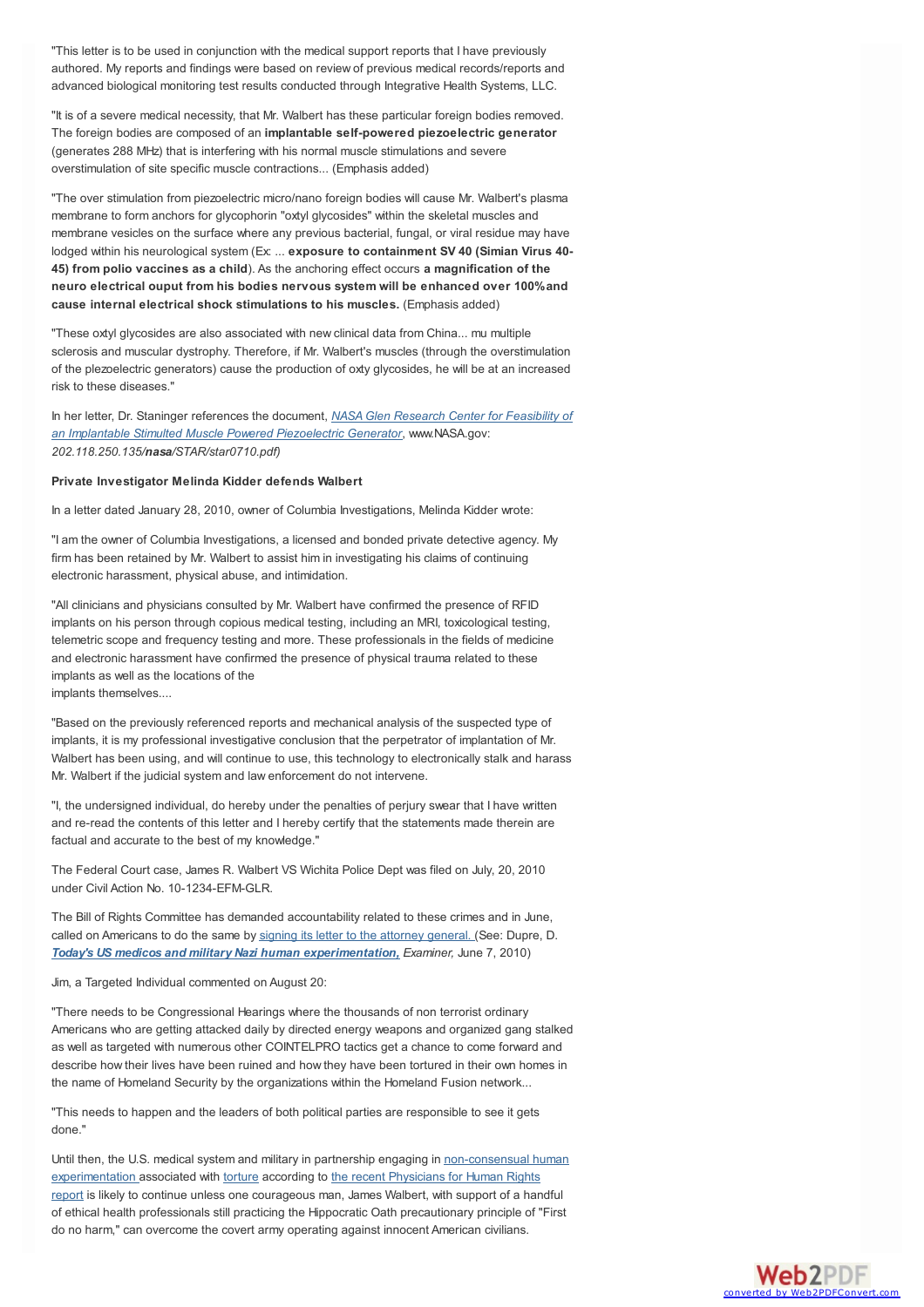"This letter is to be used in conjunction with the medical support reports that I have previously authored. My reports and findings were based on review of previous medical records/reports and advanced biological monitoring test results conducted through Integrative Health Systems, LLC.

"It is of a severe medical necessity, that Mr. Walbert has these particular foreign bodies removed. The foreign bodies are composed of an **implantable self-powered piezoelectric generator** (generates 288 MHz) that is interfering with his normal muscle stimulations and severe overstimulation of site specific muscle contractions... (Emphasis added)

"The over stimulation from piezoelectric micro/nano foreign bodies will cause Mr. Walbert's plasma membrane to form anchors for glycophorin "oxtyl glycosides" within the skeletal muscles and membrane vesicles on the surface where any previous bacterial, fungal, or viral residue may have lodged within his neurological system (Ex: ... **exposure to containment SV 40 (Simian Virus 40- 45) from polio vaccines as a child**). As the anchoring effect occurs **a magnification of the neuro electrical ouput from his bodies nervous system will be enhanced over 100%and cause internal electrical shock stimulations to his muscles.** (Emphasis added)

"These oxtyl glycosides are also associated with new clinical data from China... mu multiple sclerosis and muscular dystrophy. Therefore, if Mr. Walbert's muscles (through the overstimulation of the plezoelectric generators) cause the production of oxty glycosides, he will be at an increased risk to these diseases."

In her letter, Dr. Staninger references the document, *NASAGlen Research Center for Feasibility of an Implantable Stimulted Muscle Powered Piezoelectric Generator*, [www.NASA.gov:](http://202.118.250.135/nasa/STAR/star0710.pdf) *202.118.250.135/nasa/STAR/star0710.pdf)*

#### **Private Investigator Melinda Kidder defends Walbert**

In a letter dated January 28, 2010, owner of Columbia Investigations, Melinda Kidder wrote:

"I am the owner of Columbia Investigations, a licensed and bonded private detective agency. My firm has been retained by Mr. Walbert to assist him in investigating his claims of continuing electronic harassment, physical abuse, and intimidation.

"All clinicians and physicians consulted by Mr. Walbert have confirmed the presence of RFID implants on his person through copious medical testing, including an MRI, toxicological testing, telemetric scope and frequency testing and more. These professionals in the fields of medicine and electronic harassment have confirmed the presence of physical trauma related to these implants as well as the locations of the implants themselves....

"Based on the previously referenced reports and mechanical analysis of the suspected type of implants, it is my professional investigative conclusion that the perpetrator of implantation of Mr. Walbert has been using, and will continue to use, this technology to electronically stalk and harass

Mr. Walbert if the judicial system and law enforcement do not intervene.

"I, the undersigned individual, do hereby under the penalties of perjury swear that I have written and re-read the contents of this letter and I hereby certify that the statements made therein are factual and accurate to the best of my knowledge."

The Federal Court case, James R. Walbert VS Wichita Police Dept was filed on July, 20, 2010 under Civil Action No. 10-1234-EFM-GLR.

The Bill of Rights Committee has demanded accountability related to these crimes and in June, called on Americans to do the same by signing its letter to the [attorney](http://salsa.democracyinaction.org/o/498/p/dia/action/public/?action_KEY=3987) general. (See: Dupre, D. *Today's US medicos and military Nazi human [experimentation,](http://www.examiner.com/human-rights-in-national/today-s-us-medicos-and-military-nazi-human-experimentation) Examiner,* June 7, 2010)

Jim, a Targeted Individual commented on August 20:

"There needs to be Congressional Hearings where the thousands of non terrorist ordinary Americans who are getting attacked daily by directed energy weapons and organized gang stalked as well as targeted with numerous other COINTELPRO tactics get a chance to come forward and describe how their lives have been ruined and how they have been tortured in their own homes in the name of Homeland Security by the organizations within the Homeland Fusion network...

"This needs to happen and the leaders of both political parties are responsible to see it gets done."

Until then, the U.S. medical system and military in partnership engaging in [non-consensual](http://mindjustice.org/northbayprogressive.htm) human [experimentation](http://salsa.democracyinaction.org/dia/track.jsp?v=2&c=%2B7pLdnfQmkq39pB5aQSccBCbEWIcIUis) associated with [torture](http://www.examiner.com/x-10438-Human-Rights-Examiner%7Ey2010m4d6-Video-Notouch-torture-in-psychological-war-on-Targeted-Individuals) according to the recent Physicians for Human Rights report is likely to continue unless one courageous man, James Walbert, with support of a handful of ethical health professionals still practicing the Hippocratic Oath precautionary principle of "First do no harm," can overcome the covert army operating against innocent American civilians.

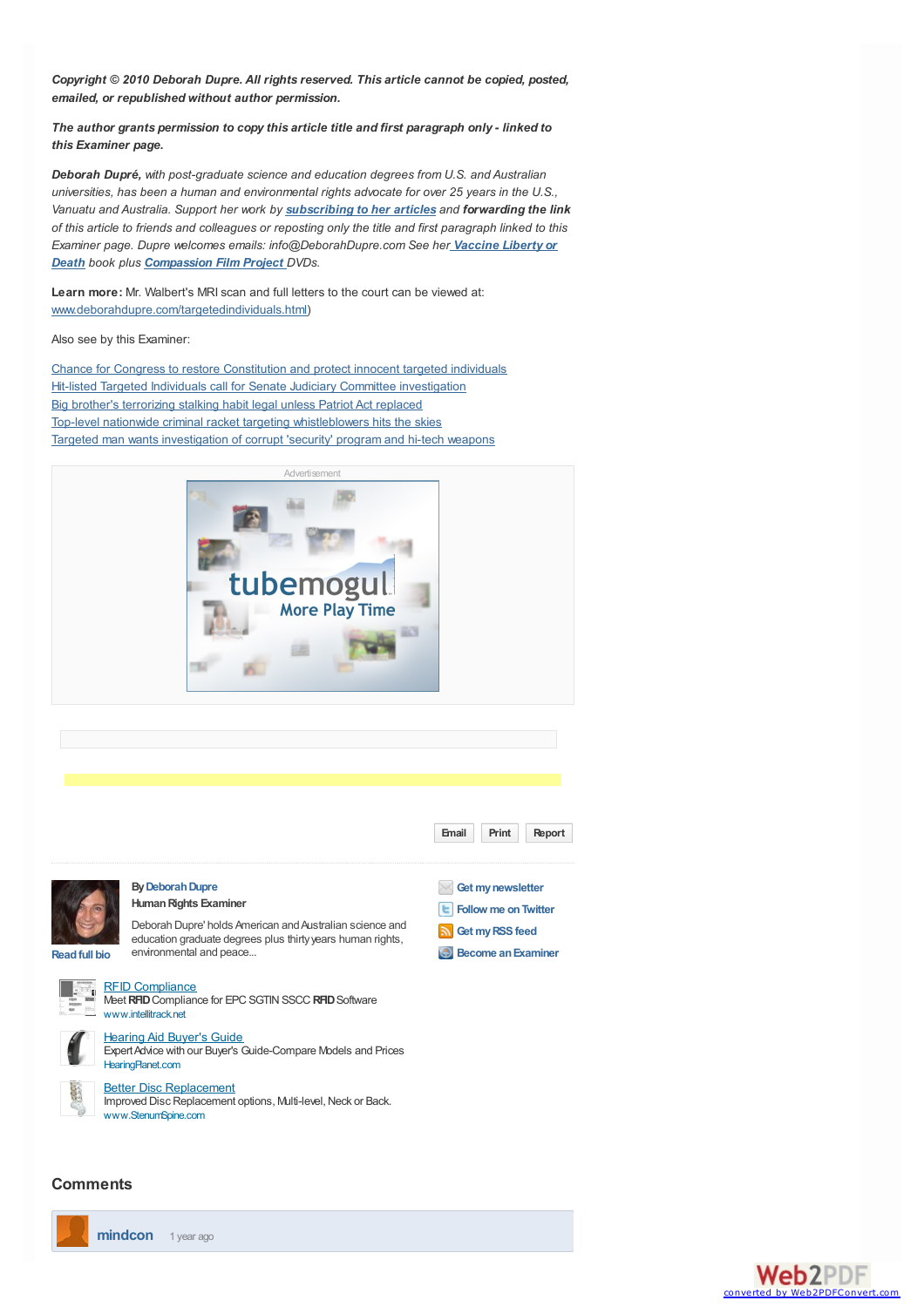*Copyright © 2010 Deborah Dupre. All rights reserved. This article cannot be copied, posted, emailed, or republished without author permission.*

*The author grants permission to copy this article title and first paragraph only - linked to this Examiner page.*

*Deborah Dupré, with post-graduate science and education degrees from U.S. and Australian universities, has been a human and environmental rights advocate for over 25 years in the U.S., Vanuatu and Australia. Support her work by [subscribing](http://image.examiner.com/x-10438-Human-Rights-Examiner) to her articles and forwarding the link* of this article to friends and colleagues or reposting only the title and first paragraph linked to this *Examiner page. Dupre welcomes emails: [info@DeborahDupre.com](http://www.deborahdupre.com/) See her Vaccine Liberty or Death book plus [Compassion](http://www.deborahdupre.com/compassionfilmproject.html) Film Project DVDs.*

**Learn more:** Mr. Walbert's MRI scan and full letters to the court can be viewed at: [www.deborahdupre.com/targetedindividuals.html](http://www.deborahdupre.com/targetedindividuals.html))

Also see by this Examiner:

Chance for Congress to restore [Constitution](http://www.examiner.com/x-/x-10438-Human-Rights-Examiner%7Ey2009m9d29-Chance-for-Congress-to-restore-Constitution-and-protect-innocent-targeted-individuals) and protect innocent targeted individuals Hit-listed Targeted Individuals call for Senate Judiciary Committee [investigation](http://www.examiner.com/x-/x-10438-Human-Rights-Examiner%7Ey2009m12d7-Hitlisted-Targeted-Individuals-call-for-Senate-Judiciary-Committee-investigation) Big brother's [terrorizing](http://www.examiner.com/x-/x-10438-Human-Rights-Examiner%7Ey2009m10d1-Big-brothers-terrorizing-stalking-habbit-legal-unless-Patriot-Act-replaced) stalking habit legal unless Patriot Act replaced Top-level nationwide criminal racket targeting [whistleblowers](http://www.examiner.com/x-/x-10438-Human-Rights-Examiner%7Ey2009m12d13-Web-of-FBI-DOJ-criminal-racket-targeting-individual-whistleblowers-hits-the-skies) hits the skies Targeted man wants [investigation](http://www.examiner.com/x-/x-10438-Human-Rights-Examiner%7Ey2009m12d19-Targeted-man-calls-for-investigation-of-corrupt-DHS-related-elements) of corrupt 'security' program and hi-tech weapons





## **Comments**



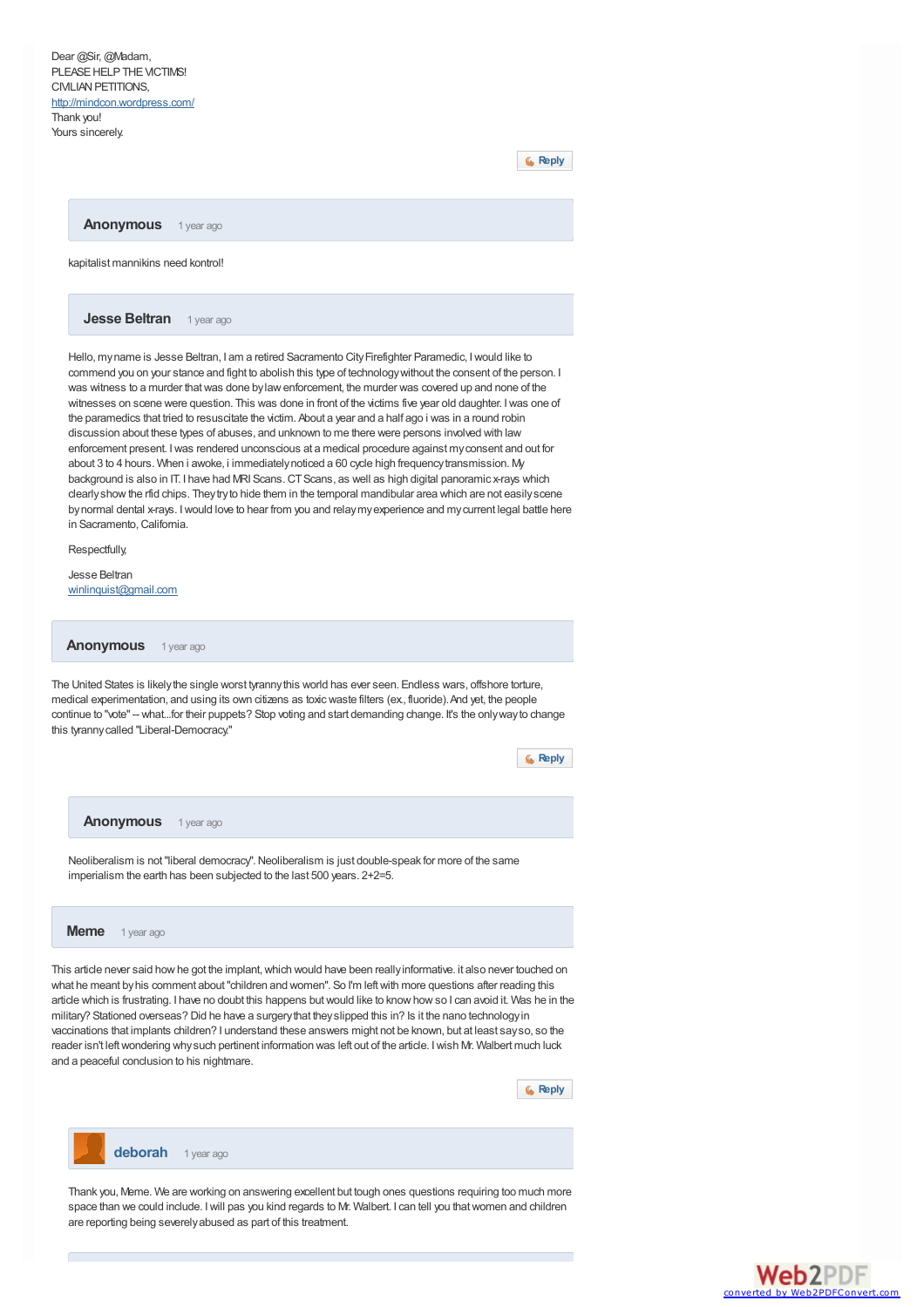Dear @Sir, @Madam, PLEASE HELP THE VICTIMS! CIVILIAN PETITIONS. <http://mindcon.wordpress.com/> Thank you! Yours sincerely

**[Reply](http://www.examiner.com/comment/reply/20828051/11084701)**

**Anonymous** 1 year ago

kapitalist mannikins need kontrol!

**Jesse Beltran** 1 year ago

Hello, my name is Jesse Beltran, I am a retired Sacramento City Firefighter Paramedic, I would like to commend you on your stance and fight to abolish this type of technologywithout the consent of the person. I was witness to a murder that was done by law enforcement, the murder was covered up and none of the witnesses on scene were question. This was done in front of the victims five year old daughter. I was one of the paramedics that tried to resuscitate the victim. About a year and a half ago i was in a round robin discussion about these types of abuses, and unknown to me there were persons involved with law enforcement present. Iwas rendered unconscious at a medical procedure against myconsent and out for about 3 to 4 hours. When i awoke, i immediately noticed a 60 cycle high frequency transmission. My background is also in IT. I have had MRI Scans. CT Scans, as well as high digital panoramic x-rays which clearlyshowthe rfid chips. Theytryto hide them in the temporal mandibular area which are not easilyscene bynormal dental x-rays. Iwould love to hear from you and relaymyexperience and mycurrent legal battle here in Sacramento,California.

Respectfully,

Jesse Beltran [winlinquist@gmail.com](mailto:winlinquist@gmail.com)

**Anonymous** 1 year ago

The United States is likelythe single worst tyrannythis world has ever seen. Endless wars, offshore torture, medical experimentation, and using its own citizens as toxicwaste filters (ex., fluoride).And yet, the people continue to "vote"-- what...for their puppets? Stop voting and start demanding change. It's the onlywayto change this tyrannycalled "Liberal-Democracy."

**[Reply](http://www.examiner.com/comment/reply/20828051/11088726)**





Thank you, Meme. We are working on answering excellent but tough ones questions requiring too much more space than we could include. Iwill pas you kind regards to Mr. Walbert. I can tell you thatwomen and children are reporting being severelyabused as part of this treatment.

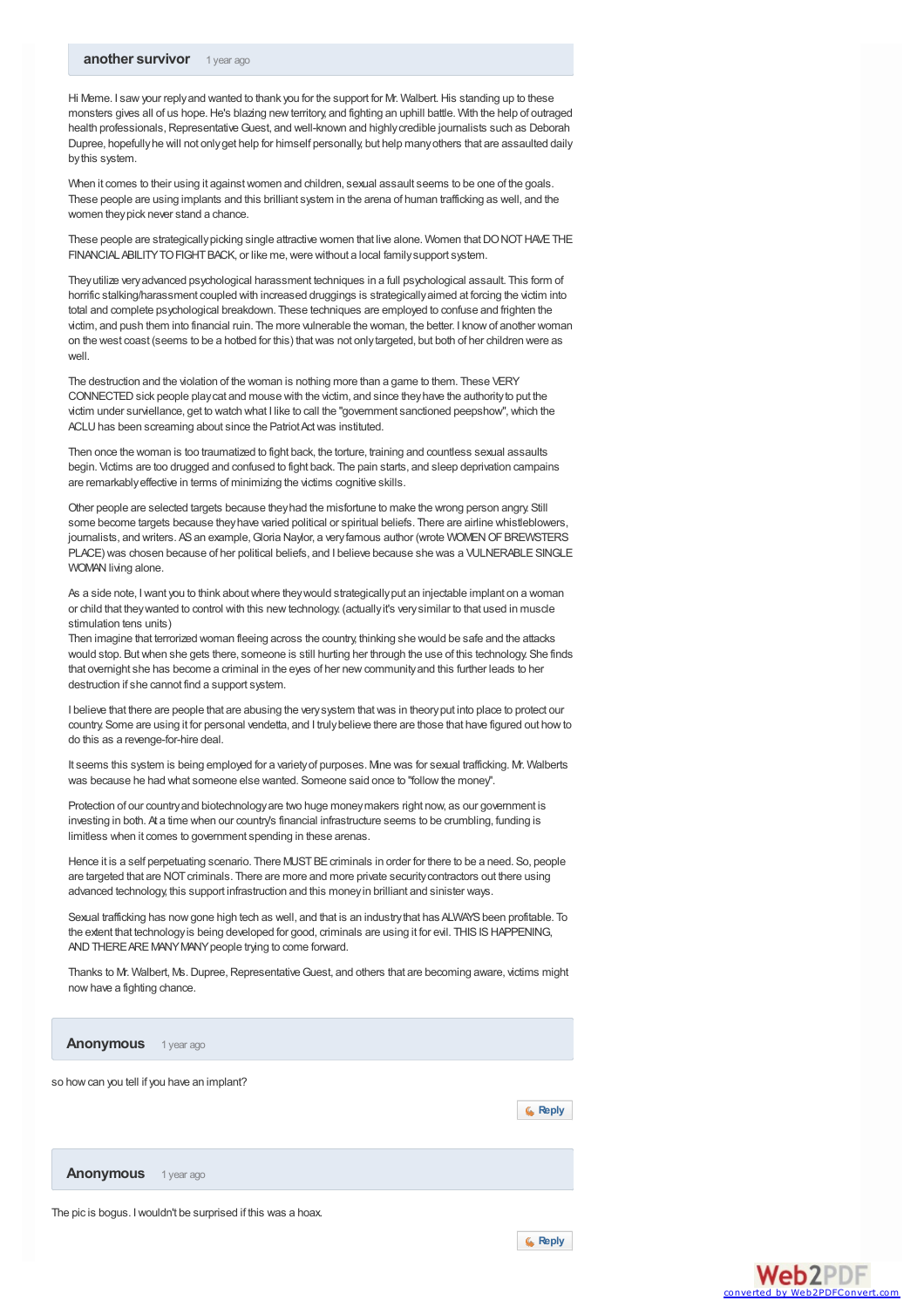Hi Meme. I saw your reply and wanted to thank you for the support for Mr. Walbert. His standing up to these monsters gives all of us hope.He's blazing newterritory, and fighting an uphill battle. With the help of outraged health professionals, Representative Guest, and well-known and highly credible journalists such as Deborah Dupree, hopefullyhe will not onlyget help for himself personally, but help manyothers that are assaulted daily bythis system.

When it comes to their using it against women and children, sexual assault seems to be one of the goals. These people are using implants and this brilliant system in the arena of human trafficking as well, and the women theypick never stand a chance.

These people are strategically picking single attractive women that live alone. Women that DONOT HAVE THE FINANCIAL ABILITY TO FIGHT BACK, or like me, were without a local family support system.

Theyutilize veryadvanced psychological harassment techniques in a full psychological assault. This form of horrific stalking/harassment coupled with increased druggings is strategicallyaimed at forcing the victim into total and complete psychological breakdown. These techniques are employed to confuse and frighten the victim, and push them into financial ruin. The more vulnerable the woman, the better. I knowof another woman on the west coast (seems to be a hotbed for this) thatwas not onlytargeted, but both of her children were as well.

The destruction and the violation of the woman is nothing more than a game to them. These VERY CONNECTED sick people play cat and mouse with the victim, and since they have the authority to put the victim under surviellance, get to watch what I like to call the "government sanctioned peepshow", which the ACLU has been screaming about since the Patriot Act was instituted.

Then once the woman is too traumatized to fight back, the torture, training and countless sexual assaults begin. Victims are too drugged and confused to fight back. The pain starts, and sleep deprivation campains are remarkablyeffective in terms of minimizing the victims cognitive skills.

Other people are selected targets because theyhad the misfortune to make the wrong person angry. Still some become targets because theyhave varied political or spiritual beliefs. There are airline whistleblowers, journalists, and writers. AS an example, Gloria Naylor, a very famous author (wrote WOMEN OF BREWSTERS PLACE) was chosen because of her political beliefs, and I believe because she was a VULNERABLE SINGLE WOMAN living alone.

As a side note. I want you to think about where they would strategically put an injectable implant on a woman or child that theywanted to control with this newtechnology. (actuallyit's verysimilar to that used in muscle stimulation tens units)

Then imagine that terrorized woman fleeing across the country, thinking she would be safe and the attacks would stop. Butwhen she gets there, someone is still hurting her through the use of this technology. She finds that overnight she has become a criminal in the eyes of her newcommunityand this further leads to her destruction if she cannot find a support system.

I believe that there are people that are abusing the verysystem thatwas in theoryput into place to protect our country. Some are using it for personal vendetta, and I trulybelieve there are those that have figured out howto do this as a revenge-for-hire deal.

It seems this system is being employed for a varietyof purposes. Mine was for sexual trafficking. Mr. Walberts was because he had what someone else wanted. Someone said once to "followthe money".

Protection of our country and biotechnology are two huge money makers right now, as our government is investing in both. At a time when our country's financial infrastructure seems to be crumbling, funding is limitless when it comes to government spending in these arenas.

Hence it is a self perpetuating scenario. There MUST BE criminals in order for there to be a need. So, people are targeted that are NOT criminals. There are more and more private security contractors out there using advanced technology, this support infrastruction and this moneyin brilliant and sinister ways.

Sexual trafficking has now gone high tech as well, and that is an industry that has ALWAYS been profitable. To the extent that technology is being developed for good, criminals are using it for evil. THIS IS HAPPENING, AND THERE ARE MANY MANY people trying to come forward

Thanks to Mr. Walbert, Ms. Dupree, Representative Guest, and others that are becoming aware, victims might nowhave a fighting chance.

**Anonymous** 1 year ago

so howcan you tell if you have an implant?



**Anonymous** 1 year ago

The pic is bogus. Iwouldn't be surprised if this was a hoax.



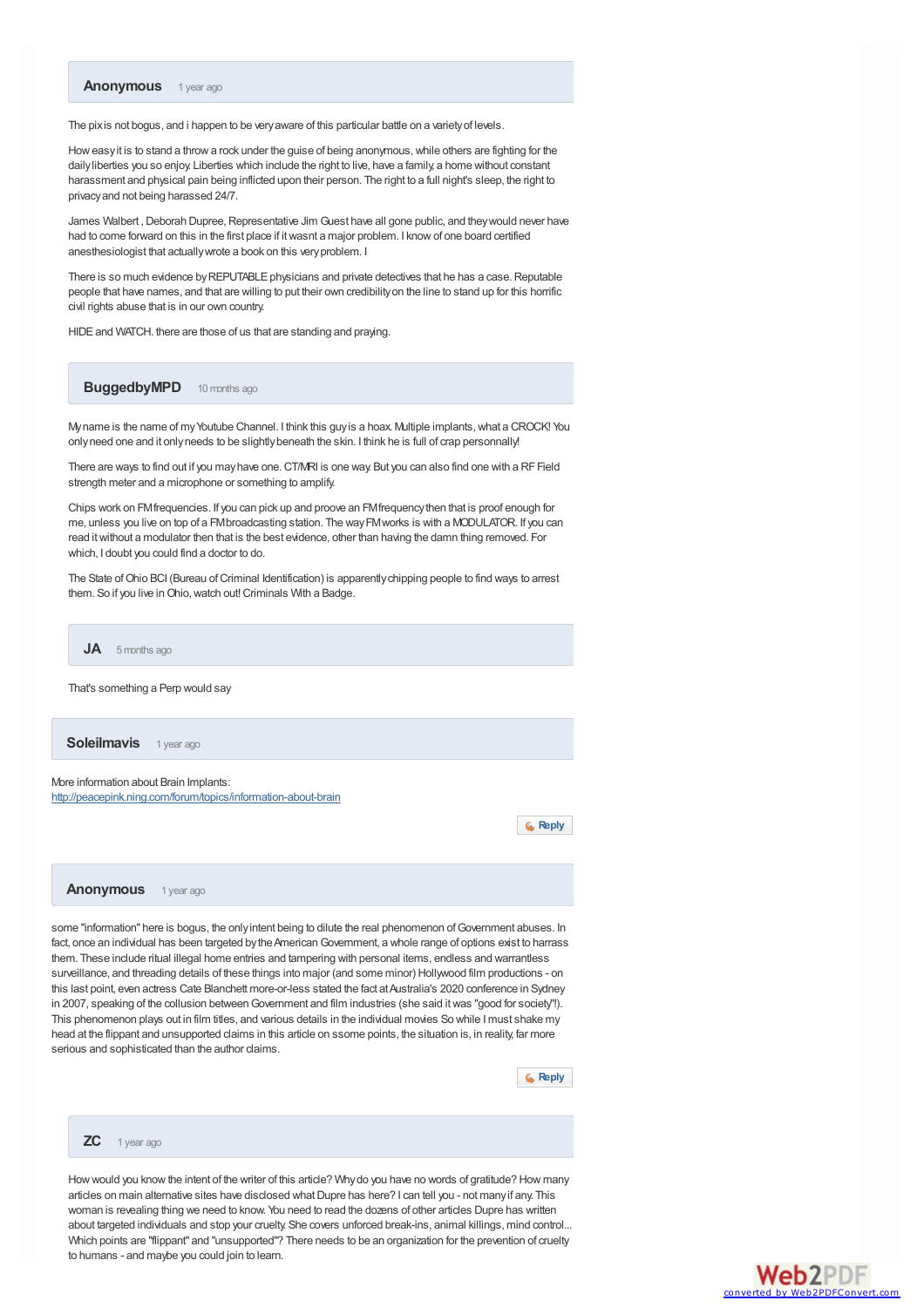

The pixis not bogus, and i happen to be very aware of this particular battle on a variety of levels.

Howeasyit is to stand a throwa rock under the guise of being anonymous,while others are fighting for the dailyliberties you so enjoy. Liberties which include the right to live, have a family, a home without constant harassment and physical pain being inflicted upon their person. The right to a full night's sleep, the right to privacyand not being harassed 24/7.

James Walbert, Deborah Dupree, Representative Jim Guest have all gone public, and they would never have had to come forward on this in the first place if itwasnt a major problem. I knowof one board certified anesthesiologist that actuallywrote a book on this veryproblem. I

There is so much evidence by REPUTABLE physicians and private detectives that he has a case. Reputable people that have names, and that are willing to put their own credibilityon the line to stand up for this horrific civil rights abuse that is in our own country.

HIDE and WATCH. there are those of us that are standing and praying.

**BuggedbyMPD** 10 months ago

Myname is the name of my Youtube Channel. I think this guy is a hoax. Multiple implants, what a CROCK! You only need one and it only needs to be slightly beneath the skin. I think he is full of crap personnally

There are ways to find out if you mayhave one.CT/MRI is one way. But you can also find one with a RFField strength meter and a microphone or something to amplify.

Chips work on FMfrequencies. If you can pick up and proove an FMfrequencythen that is proof enough for me, unless you live on top of a FMbroadcasting station. The wayFMworks is with a MODULATOR. If you can read itwithout a modulator then that is the best evidence, other than having the damn thing removed. For which, I doubt you could find a doctor to do.

The State of Ohio BCI (Bureau of Criminal Identification) is apparently chipping people to find ways to arrest them. So if you live in Ohio, watch out! Criminals With a Badge.

That's something a Perp would say **JA** 5 months ago

**Soleilmavis** 1 year ago

More information about Brain Implants: <http://peacepink.ning.com/forum/topics/information-about-brain>

**[Reply](http://www.examiner.com/comment/reply/20828051/11135346)**

**Anonymous** 1 year ago

some "information" here is bogus, the only intent being to dilute the real phenomenon of Government abuses. In fact, once an individual has been targeted by the American Government, a whole range of options exist to harrass them. These include ritual illegal home entries and tampering with personal items, endless and warrantless surveillance, and threading details of these things into major (and some minor) Hollywood film productions - on this last point, even actress Cate Blanchett more-or-less stated the fact at Australia's 2020 conference in Sydney in 2007, speaking of the collusion between Government and film industries (she said it was "good for society"!). This phenomenon plays out in film titles, and various details in the individual movies So while I must shake my head at the flippant and unsupported claims in this article on ssome points, the situation is, in reality, far more serious and sophisticated than the author claims.

**[Reply](http://www.examiner.com/comment/reply/20828051/11145041)**

#### **ZC** 1 year ago

Howwould you knowthe intent of the writer of this article? Whydo you have no words of gratitude? How many articles on main alternative sites have disclosed what Dupre has here? I can tell you - not many if any. This woman is revealing thing we need to know. You need to read the dozens of other articles Dupre has written about targeted individuals and stop your cruelty. She covers unforced break-ins, animal killings, mind control... Which points are "flippant" and "unsupported"? There needs to be an organization for the prevention of cruelty to humans - and maybe you could join to learn.

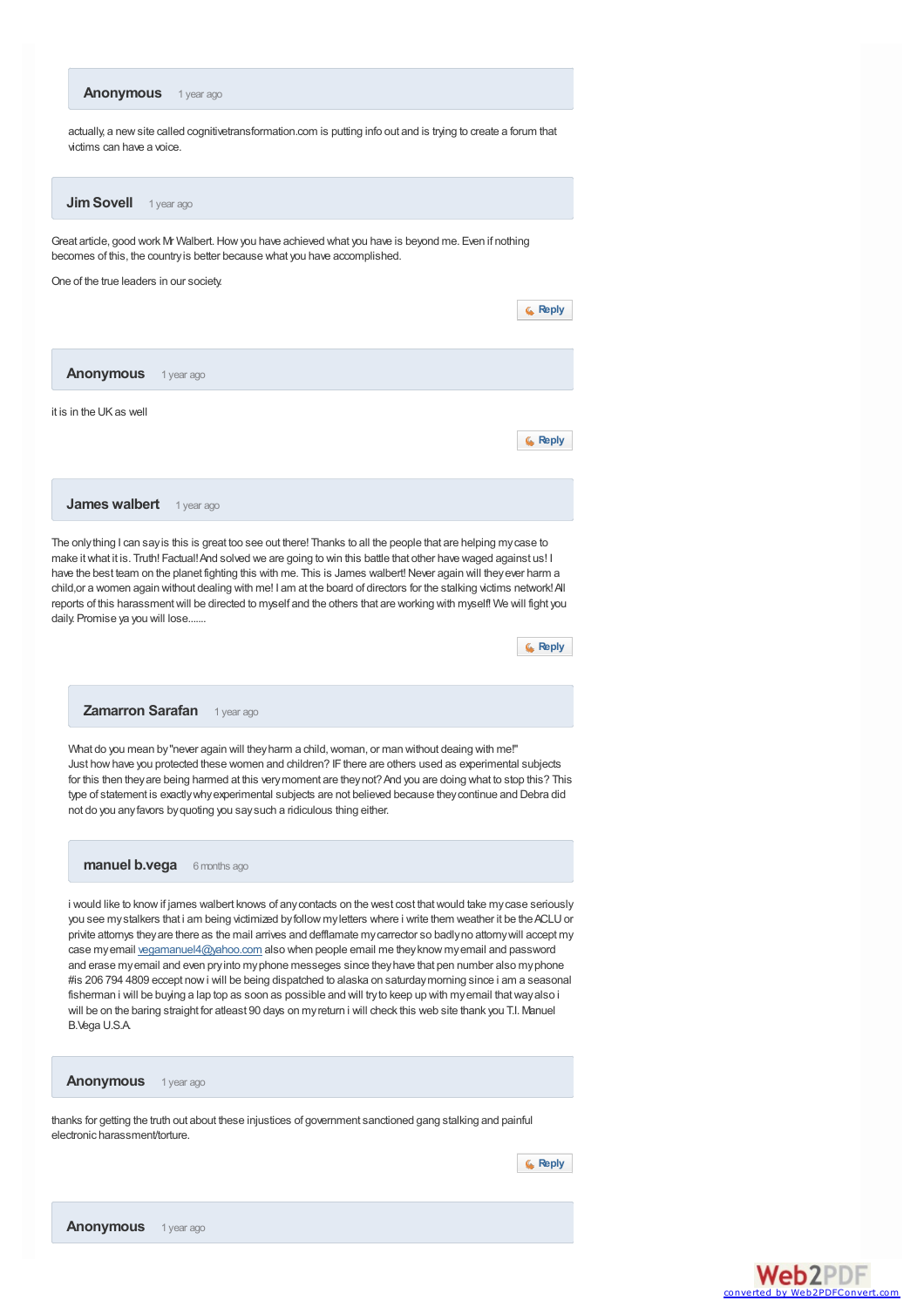<span id="page-7-0"></span>

## **Anonymous** 1 year ago

thanks for getting the truth out about these injustices of government sanctioned gang stalking and painful electronic harassment/torture.

**[Reply](http://www.examiner.com/comment/reply/20828051/11235631)**



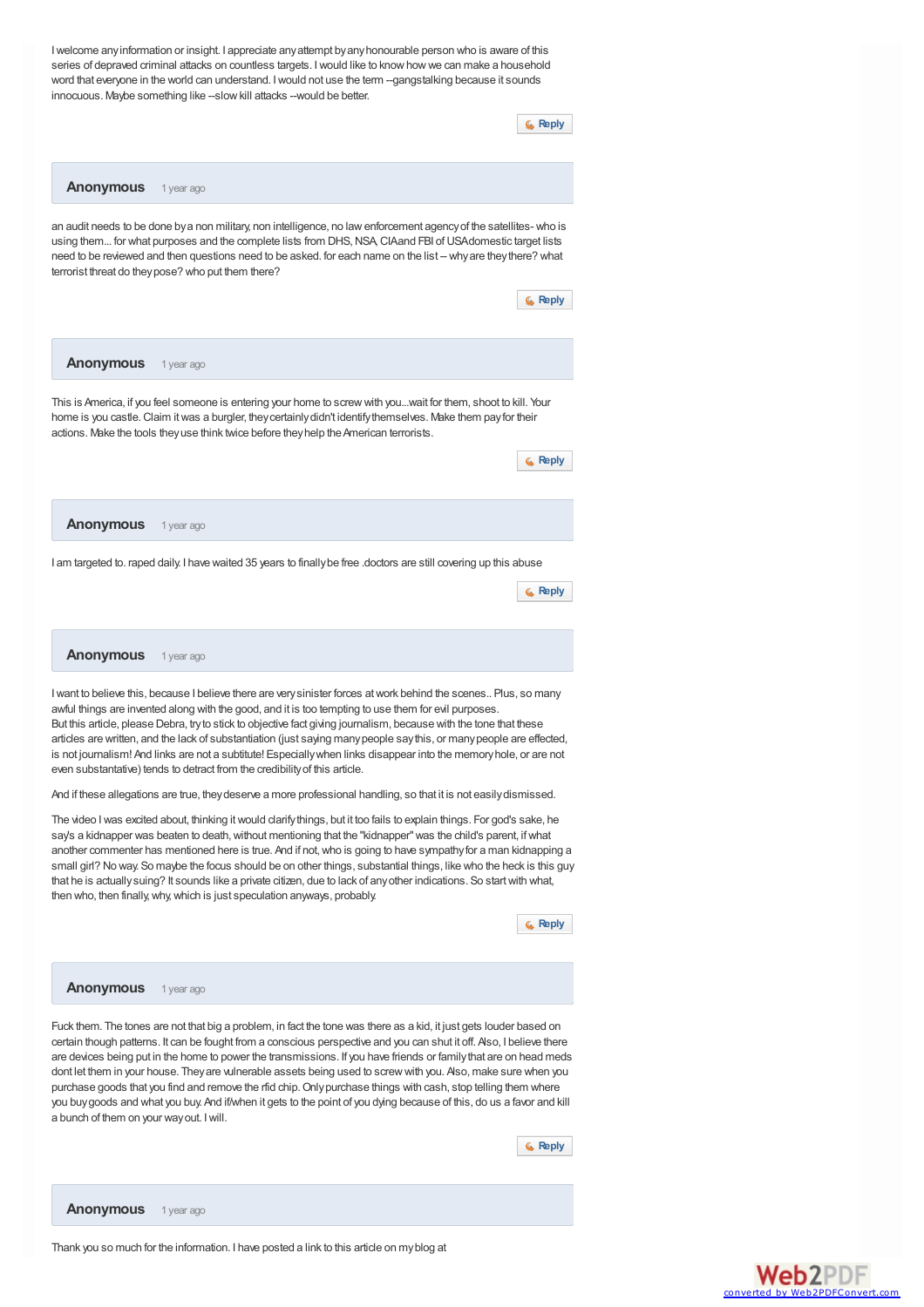Iwelcome anyinformation or insight. I appreciate anyattempt byanyhonourable person who is aware of this series of depraved criminal attacks on countless targets. I would like to know how we can make a household word that everyone in the world can understand. I would not use the term --gangstalking because it sounds innocuous. Maybe something like --slow kill attacks --would be better.



**Anonymous** 1 year ago

an audit needs to be done bya non military, non intelligence, no lawenforcement agencyof the satellites- who is using them... for what purposes and the complete lists from DHS, NSA, CIAand FBI of USAdomestic target lists need to be reviewed and then questions need to be asked. for each name on the list -- why are they there? what terrorist threat do theypose? who put them there?



And if these allegations are true, theydeserve a more professional handling, so that it is not easilydismissed.

The video I was excited about, thinking it would clarify things, but it too fails to explain things. For god's sake, he say's a kidnapper was beaten to death, without mentioning that the "kidnapper" was the child's parent, if what another commenter has mentioned here is true. And if not, who is going to have sympathy for a man kidnapping a small girl? No way. So maybe the focus should be on other things, substantial things, like who the heck is this guy that he is actuallysuing? It sounds like a private citizen, due to lack of anyother indications. So startwith what, then who, then finally,why,which is just speculation anyways, probably.

**[Reply](http://www.examiner.com/comment/reply/20828051/12483261)**

### **Anonymous** 1 year ago

Fuck them. The tones are not that big a problem, in fact the tone was there as a kid, it just gets louder based on certain though patterns. It can be fought from a conscious perspective and you can shut it off. Also, I believe there are devices being put in the home to power the transmissions. If you have friends or familythat are on head meds dont let them in your house. They are vulnerable assets being used to screw with you. Also, make sure when you purchase goods that you find and remove the rfid chip. Only purchase things with cash, stop telling them where you buygoods and what you buy. And if/when it gets to the point of you dying because of this, do us a favor and kill a bunch of them on your wayout. Iwill.

**[Reply](http://www.examiner.com/comment/reply/20828051/12491556)**

**Anonymous** 1 year ago

Thank you so much for the information. I have posted a link to this article on myblog at

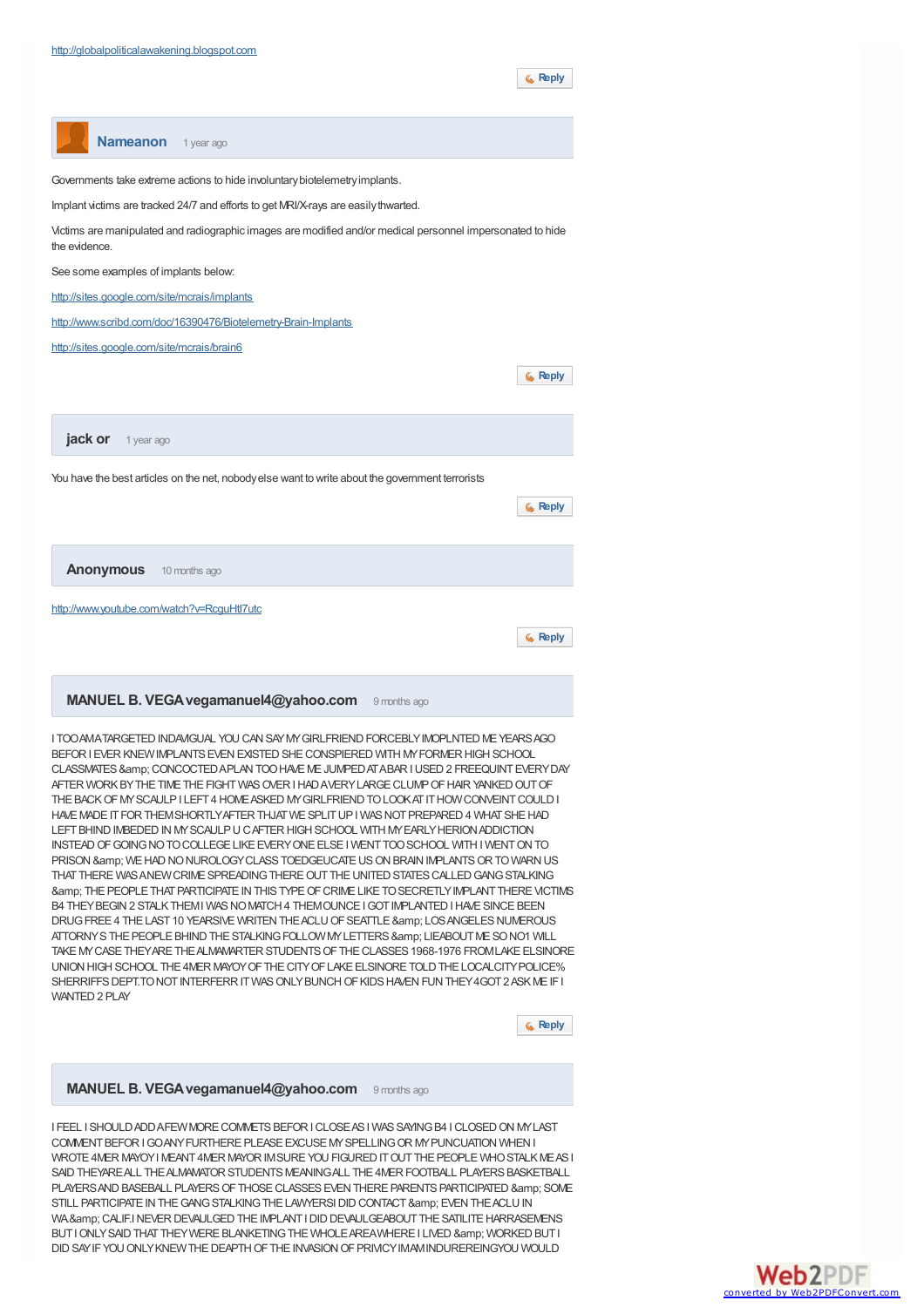**[Reply](http://www.examiner.com/comment/reply/20828051/12492451)**



SAID THEYARE ALL THE ALMAMATOR STUDENTS MEANING ALL THE 4MER FOOTBALL PLAYERS BASKETBALL PLAYERS AND BASEBALL PLAYERS OF THOSE CLASSES EVEN THERE PARENTS PARTICIPATED & amp; SOME STILL PARTICIPATE IN THE GANG STALKING THE LAWYERSI DID CONTACT & amp: EVEN THE ACLU IN WA& CALIF.INEVER DEVAULGED THE IMPLANT I DID DEVAULGEABOUT THE SATILITE HARRASEMENS BUT I ONLY SAID THAT THEY WERE BLANKETING THE WHOLE AREA WHERE I LIVED & amp; WORKED BUT I DID SAY IF YOU ONLY KNEW THE DEAPTH OF THE INVASION OF PRIVICY IMAM INDUREREINGYOU WOULD

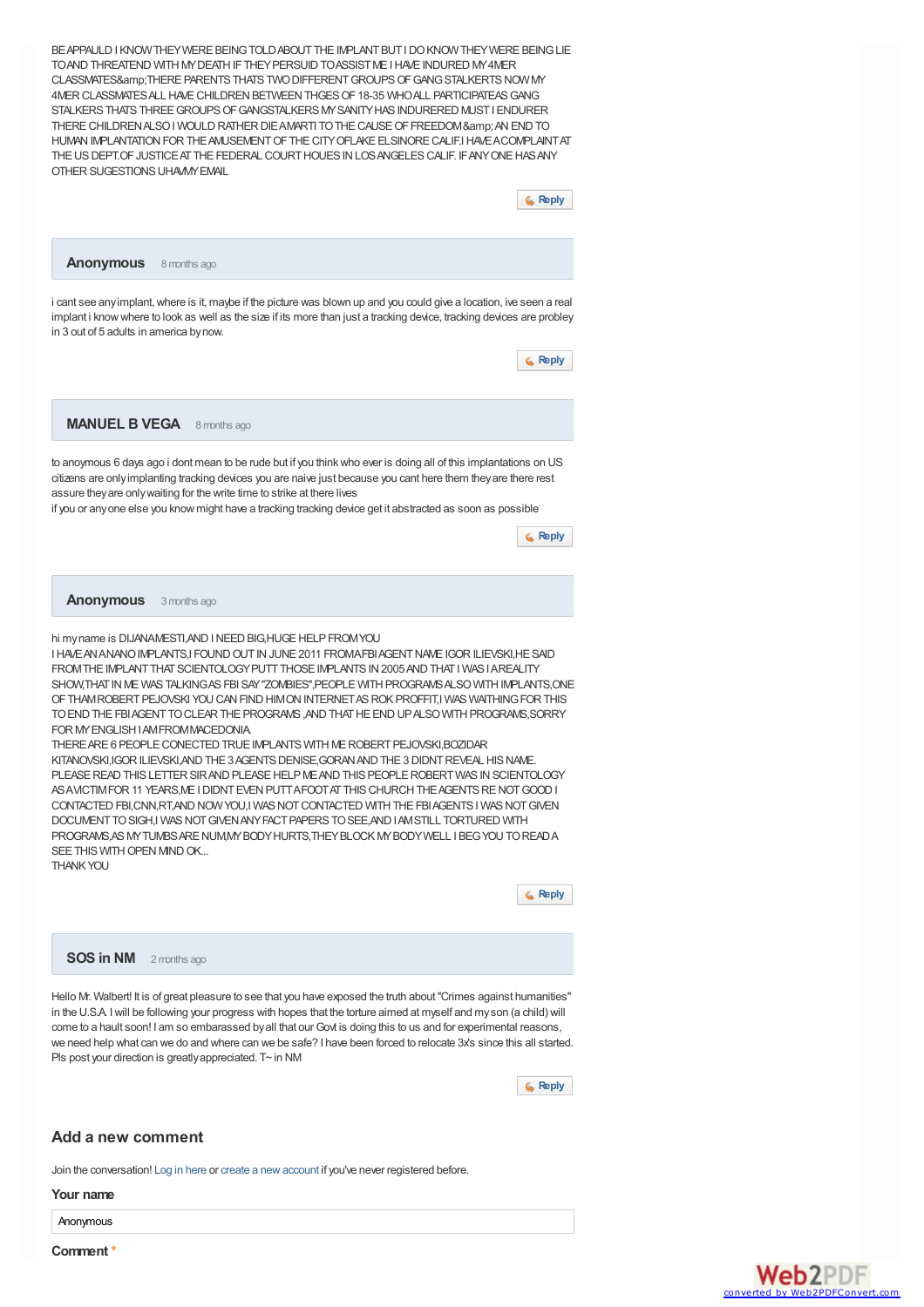BEAPPAULD I KNOWTHEY WERE BEING TOLD ABOUT THE IMPLANT BUT LDO KNOW THEY WERE BEING LIE TOAND THREATEND WITH MY DEATH IF THEY PERSUID TOASSIST ME I HAVE INDURED MY 4MER CLASSMATES&amp:THERE PARENTS THATS TWO DIFFERENT GROUPS OF GANG STALKERTS NOW MY 4MER CLASSMATES ALL HAVE CHILDREN BETWEEN THGES OF 18-35 WHO ALL PARTICIPATEAS GANG STALKERS THATS THREE GROUPS OF GANGSTALKERS MY SANITY HAS INDURERED MUST I ENDURER THERE CHILDREN ALSO I WOULD RATHER DIE AMARTI TO THE CAUSE OF FREEDOM & amp; AN END TO HUMAN IMPLANTATION FOR THE AM ISEMENT OF THE CITY OFLAKE FLSINORE CALIF.IHAVE A COMPLAINT AT THE US DEPT.OF JUSTICE AT THE FEDERAL COURT HOUES IN LOS ANGELES CALIF. IF ANY ONE HAS ANY OTHER SUGESTIONS UHAVAY FMAIL



**Anonymous** 8 months ago

i cant see anyimplant,where is it, maybe if the picture was blown up and you could give a location, ive seen a real implant i know where to look as well as the size if its more than just a tracking device, tracking devices are probley in 3 out of 5 adults in america bynow.

**[Reply](http://www.examiner.com/comment/reply/20828051/14793741)**

**MANUEL B VEGA** 8 months ago

to anoymous 6 days ago i dont mean to be rude but if you thinkwho ever is doing all of this implantations on US citizens are onlyimplanting tracking devices you are naive just because you cant here them theyare there rest assure theyare onlywaiting for the write time to strike at there lives

if you or anyone else you know might have a tracking tracking device get it abstracted as soon as possible

**[Reply](http://www.examiner.com/comment/reply/20828051/14798831)**

**Anonymous** 3 months ago

hi myname is DIJANAMESTI AND I NEED BIG HUGE HELP FROM YOU

I HAVE AN ANANO IMPLANTS, I FOUND OUT IN JUNE 2011 FROMAFBIAGENT NAME IGOR ILIEVSKI, HE SAID FROM THE IMPLANT THAT SCIENTOLOGY PUTT THOSE IMPLANTS IN 2005 AND THAT I WAS I AREALITY SHOW,THAT IN ME WAS TALKING AS FBI SAY "ZOMBIES", PEOPLE WITH PROGRAMS ALSO WITH IMPLANTS, ONE OF THAMROBERT PEJOVSKI YOU CAN FIND HIMON INTERNET AS ROK PROFFIT,I WAS WAITHING FOR THIS TOENDTHEFBIAGENTTOCLEARTHEPROGRAMS,ANDTHATHEENDUPALSOWITHPROGRAMS,SORRY FOR MYENGLISHIAMFROMMACEDONIA.

THERE ARE 6 PEOPLE CONECTED TRUE IMPLANTS WITH ME ROBERT PEJOVSKI, BOZIDAR KITANOVSKI IGOR II IFVSKI AND THE 3 AGENTS DENISE GORAN AND THE 3 DIDNT REVEAL HIS NAME. PLEASE READ THIS LETTER SIR AND PLEASE HELP ME AND THIS PEOPLE ROBERT WAS IN SCIENTOLOGY AS AVICTIMEOR 11 YEARS, MEI DIDNT EVEN PUTT AFOOT AT THIS CHURCH THE AGENTS RE NOT GOOD I CONTACTED FBI,CNN,RT,AND NOW YOU,I WAS NOT CONTACTED WITH THE FBI AGENTS I WAS NOT GIVEN DOCUMENTTO SIGH I WAS NOT GIVEN ANY FACT PAPERS TO SEE AND LAMSTILL TORTURED WITH PROGRAMS, AS MY TUMBS ARE NUM, MY BODY HURTS, THEY BLOCK MY BODY WELL I BEG YOU TO READ A SEE THIS WITH OPEN MIND OK. THANKYOU



**SOS in NM** 2 months ago

Hello Mr. Walbert! It is of great pleasure to see that you have exposed the truth about"Crimes against humanities" in the U.S.A. Iwill be following your progress with hopes that the torture aimed at myself and myson (a child) will come to a hault soon! I am so embarassed by all that our Govt is doing this to us and for experimental reasons, we need help what can we do and where can we be safe? I have been forced to relocate 3x's since this all started. Pls post your direction is greatly appreciated. T~ in NM



### **Add a new comment**

Join the conversation! Log in [here](http://www.examiner.com/user/login?destination=node/20828051) or create a [newaccount](http://www.examiner.com/user/register?destination=node/20828051) if you've never registered before.

**Your name**

**Anonymous** 

**Comment \***

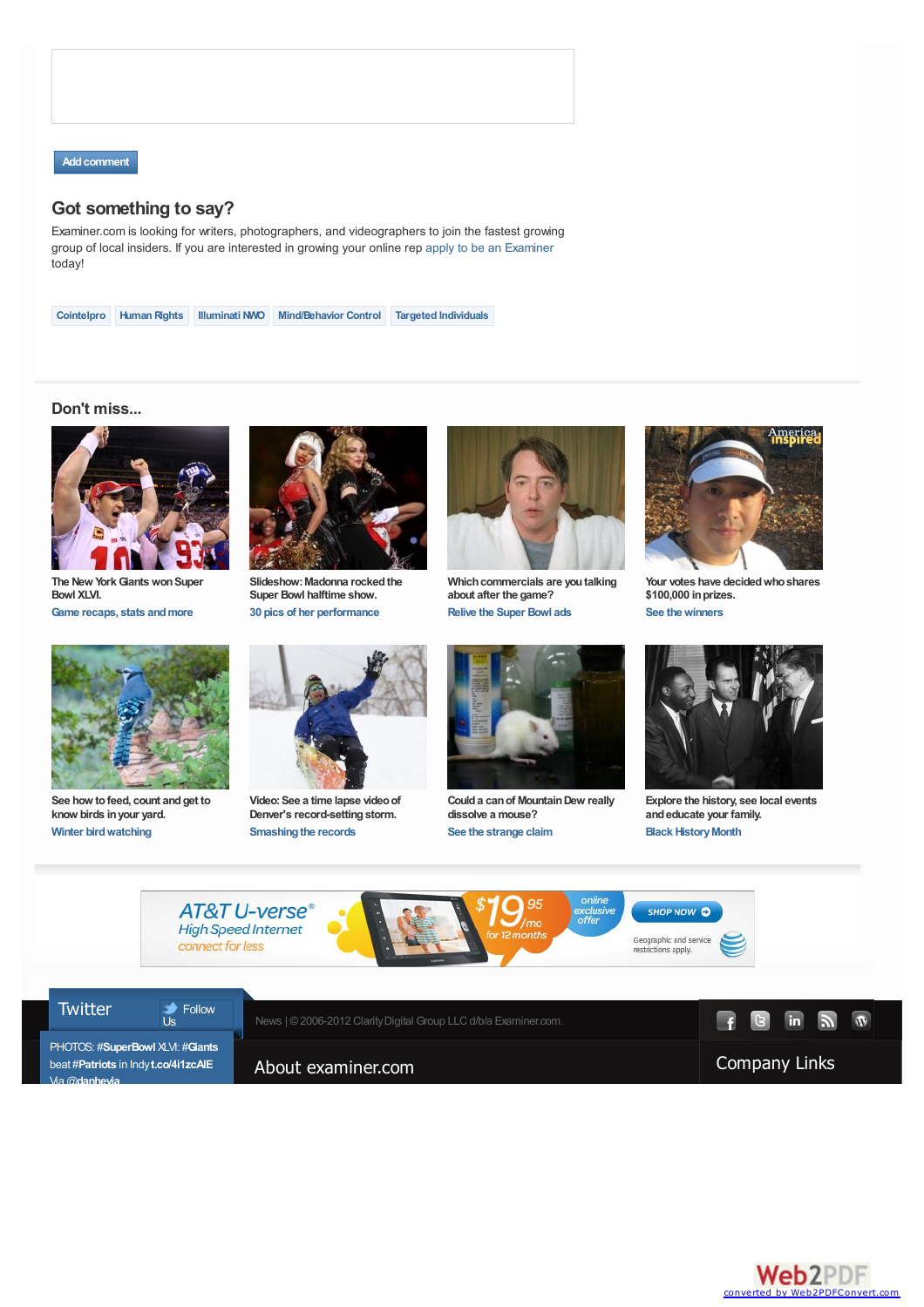

## **Got something to say?**

Examiner.com is looking for writers, photographers, and videographers to join the fastest growing group of local insiders. If you are interested in growing your online rep apply to be an [Examiner](http://www.examiner.com/About_Examiner) today!

**[Cointelpro](http://www.examiner.com/tags/cointelpro) [Human](http://www.examiner.com/tags/human-rights) Rights [Illuminati](http://www.examiner.com/tags/illuminati-nwo) NWO [Mind/Behavior](http://www.examiner.com/tags/mindbehavior-control) Control Targeted [Individuals](http://www.examiner.com/tags/targeted-individuals)**

## **Don't miss...**



**The New YorkGiantswonSuper Bowl XLVI. Game recaps, stats [andmore](http://www.examiner.com/tag/football?cid=PROG-redesign-bottom-dontmiss-1-TagPage-FootballSuperBowl)**



**See how tofeed, count andget to know birds inyour yard. Winter [birdwatching](http://www.examiner.com/interests?cid=PROG-redesign-bottom-dontmiss-5-Superchannel-InterestsBirds)**



**Slideshow:Madonna rockedthe Super Bowl halftime show. 30 pics of her [performance](http://www.examiner.com/cable-tv-in-national/pictures-of-madonna-at-bridgestone-arena-super-bowl-xlvi-halftime-show-picture?cid=PROG-redesign-bottom-dontmiss-2-Slideshow-MadonnaHalfTime)**



**Video:See a time lapse videoof Denver's record-setting storm. Smashing the records** 



**Which commercials are you talking** 

**about after the game?**

**Coulda canof MountainDew really dissolve a mouse? See the [strange](http://www.examiner.com/tag/strange-facts?cid=PROG-redesign-bottom-dontmiss-7-TagPage-StrangeFactsMouse) claim**



**Your votes have decidedwhoshares \$100,000 inprizes. See the winners** 



**Explore the history, see local events andeducate your family. Black History Month**